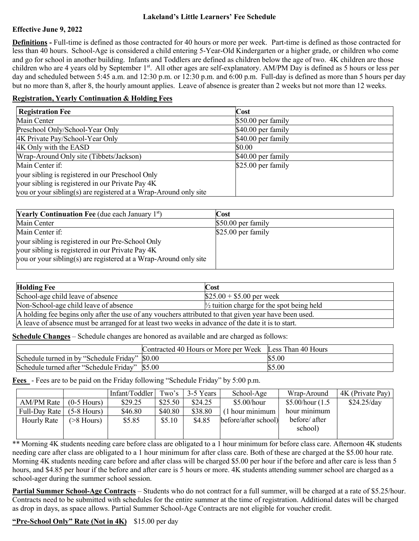## **Lakeland's Little Learners' Fee Schedule**

## **Effective June 9, 2022**

**Definitions -** Full-time is defined as those contracted for 40 hours or more per week. Part-time is defined as those contracted for less than 40 hours. School-Age is considered a child entering 5-Year-Old Kindergarten or a higher grade, or children who come and go for school in another building. Infants and Toddlers are defined as children below the age of two. 4K children are those children who are 4 years old by September 1<sup>st</sup>. All other ages are self-explanatory. AM/PM Day is defined as 5 hours or less per day and scheduled between 5:45 a.m. and 12:30 p.m. or 12:30 p.m. and 6:00 p.m. Full-day is defined as more than 5 hours per day but no more than 8, after 8, the hourly amount applies. Leave of absence is greater than 2 weeks but not more than 12 weeks.

## **Registration, Yearly Continuation & Holding Fees**

| <b>Registration Fee</b>                                          | Cost               |  |  |
|------------------------------------------------------------------|--------------------|--|--|
| Main Center                                                      | \$50.00 per family |  |  |
| Preschool Only/School-Year Only                                  | \$40.00 per family |  |  |
| 4K Private Pay/School-Year Only                                  | \$40.00 per family |  |  |
| 4K Only with the EASD                                            | \$0.00             |  |  |
| Wrap-Around Only site (Tibbets/Jackson)                          | \$40.00 per family |  |  |
| Main Center if:                                                  | \$25.00 per family |  |  |
| your sibling is registered in our Preschool Only                 |                    |  |  |
| your sibling is registered in our Private Pay 4K                 |                    |  |  |
| you or your sibling(s) are registered at a Wrap-Around only site |                    |  |  |

| <b>Yearly Continuation Fee</b> (due each January $1st$ )         | Cost                |
|------------------------------------------------------------------|---------------------|
| Main Center                                                      | $$50.00$ per family |
| Main Center if:                                                  | $$25.00$ per family |
| your sibling is registered in our Pre-School Only                |                     |
| your sibling is registered in our Private Pay 4K                 |                     |
| you or your sibling(s) are registered at a Wrap-Around only site |                     |
|                                                                  |                     |

| <b>Holding Fee</b>                                                                                    | Cost                                                 |  |  |  |
|-------------------------------------------------------------------------------------------------------|------------------------------------------------------|--|--|--|
| School-age child leave of absence                                                                     | $$25.00 + $5.00$ per week                            |  |  |  |
| Non-School-age child leave of absence                                                                 | $\frac{1}{2}$ tuition charge for the spot being held |  |  |  |
| A holding fee begins only after the use of any vouchers attributed to that given year have been used. |                                                      |  |  |  |
| A leave of absence must be arranged for at least two weeks in advance of the date it is to start.     |                                                      |  |  |  |

**Schedule Changes** – Schedule changes are honored as available and are charged as follows:

|                                                | Contracted 40 Hours or More per Week Less Than 40 Hours |        |
|------------------------------------------------|---------------------------------------------------------|--------|
| Schedule turned in by "Schedule Friday" \$0.00 |                                                         | \$5.00 |
| Schedule turned after "Schedule Friday" \$5.00 |                                                         | \$5.00 |

**Fees** - Fees are to be paid on the Friday following "Schedule Friday" by 5:00 p.m.

|               |                  | Infant/Toddler | Two's   | 3-5 Years | School-Age           | Wrap-Around       | 4K (Private Pay) |
|---------------|------------------|----------------|---------|-----------|----------------------|-------------------|------------------|
| AM/PM Rate    | $(0-5$ Hours)    | \$29.25        | \$25.50 | \$24.25   | \$5.00/hour          | \$5.00/hour (1.5) | \$24.25/day      |
| Full-Day Rate | $(5-8$ Hours)    | \$46.80        | \$40.80 | \$38.80   | $(1$ hour minimum    | hour minimum      |                  |
| Hourly Rate   | $($ >8 Hours $)$ | \$5.85         | \$5.10  | \$4.85    | before/after school) | before/ after     |                  |
|               |                  |                |         |           |                      | school)           |                  |
|               |                  |                |         |           |                      |                   |                  |

\*\* Morning 4K students needing care before class are obligated to a 1 hour minimum for before class care. Afternoon 4K students needing care after class are obligated to a 1 hour minimum for after class care. Both of these are charged at the \$5.00 hour rate. Morning 4K students needing care before and after class will be charged \$5.00 per hour if the before and after care is less than 5 hours, and \$4.85 per hour if the before and after care is 5 hours or more. 4K students attending summer school are charged as a school-ager during the summer school session.

**Partial Summer School-Age Contracts** – Students who do not contract for a full summer, will be charged at a rate of \$5.25/hour. Contracts need to be submitted with schedules for the entire summer at the time of registration. Additional dates will be charged as drop in days, as space allows. Partial Summer School-Age Contracts are not eligible for voucher credit.

## **"Pre-School Only" Rate (Not in 4K)** \$15.00 per day